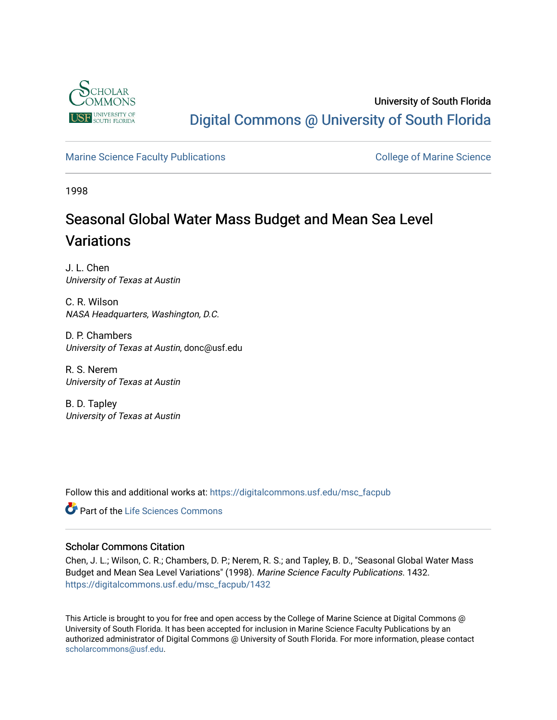

# University of South Florida [Digital Commons @ University of South Florida](https://digitalcommons.usf.edu/)

## [Marine Science Faculty Publications](https://digitalcommons.usf.edu/msc_facpub) **College of Marine Science** College of Marine Science

1998

# Seasonal Global Water Mass Budget and Mean Sea Level **Variations**

J. L. Chen University of Texas at Austin

C. R. Wilson NASA Headquarters, Washington, D.C.

D. P. Chambers University of Texas at Austin, donc@usf.edu

R. S. Nerem University of Texas at Austin

B. D. Tapley University of Texas at Austin

Follow this and additional works at: [https://digitalcommons.usf.edu/msc\\_facpub](https://digitalcommons.usf.edu/msc_facpub?utm_source=digitalcommons.usf.edu%2Fmsc_facpub%2F1432&utm_medium=PDF&utm_campaign=PDFCoverPages) 

**C** Part of the Life Sciences Commons

## Scholar Commons Citation

Chen, J. L.; Wilson, C. R.; Chambers, D. P.; Nerem, R. S.; and Tapley, B. D., "Seasonal Global Water Mass Budget and Mean Sea Level Variations" (1998). Marine Science Faculty Publications. 1432. [https://digitalcommons.usf.edu/msc\\_facpub/1432](https://digitalcommons.usf.edu/msc_facpub/1432?utm_source=digitalcommons.usf.edu%2Fmsc_facpub%2F1432&utm_medium=PDF&utm_campaign=PDFCoverPages) 

This Article is brought to you for free and open access by the College of Marine Science at Digital Commons @ University of South Florida. It has been accepted for inclusion in Marine Science Faculty Publications by an authorized administrator of Digital Commons @ University of South Florida. For more information, please contact [scholarcommons@usf.edu.](mailto:scholarcommons@usf.edu)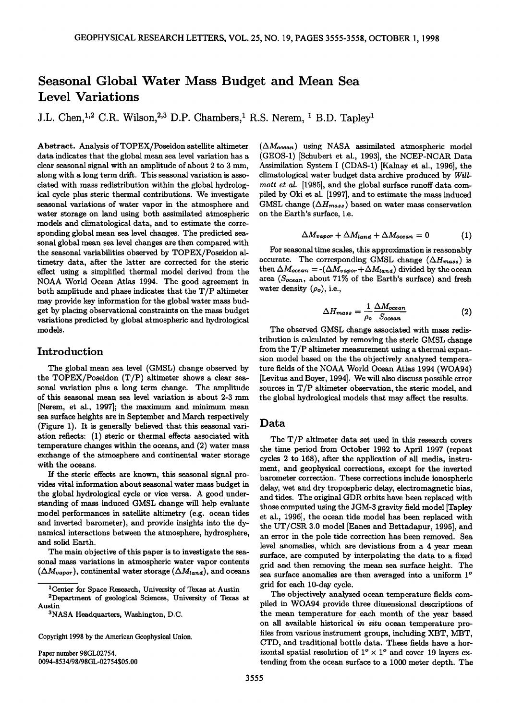# **Seasonal Global Water Mass Budget and Mean Sea Level Variations**

**J.L. Chen, <sup>1,2</sup> C.R. Wilson, <sup>2,3</sup> D.P. Chambers, <sup>1</sup> R.S. Nerem, <sup>1</sup> B.D. Tapley<sup>1</sup>** 

**Abstract. Analysis of TOPEX/Poseidon satellite altimeter data indicates that the global mean sea level variation has a clear seasonal signal with an amplitude of about 2 to 3 mm, along with a long term drift. This seasonal variation is associated with mass redistribution within the global hydrological cycle plus steric thermal contributions. We investigate seasonal variations of water vapor in the atmosphere and water storage on land using both assimilated atmospheric models and climatological data, and to estimate the corresponding global mean sea level changes. The predicted seasonal global mean sea level changes are then compared with the seasonal variabilities observed by TOPEX/Poseidon altimetry data, after the latter are corrected for the steric effect using a simplified thermal model derived from the NOAA World Ocean Atlas 1994. The good agreement in both amplitude and phase indicates that the T/P altimeter may provide key information for the global water mass budget by placing observational constraints on the mass budget variations predicted by global atmospheric and hydrological models.** 

### **Introduction**

**The global mean sea level (GMSL) change observed by the TOPEX/Poseidon (T/P) altimeter shows a clear seasonal variation plus a long term change. The amplitude of this seasonal mean sea level variation is about 2-3 mm [Nerem, et al., 1997]; the maximum and minimum mean sea surface heights are in September and March respectively (Figure 1). It is generally believed that this seasonal variation reflects: (1) steric or thermal effects associated with temperature changes within the oceans, and (2) water mass exchange of the atmosphere and continental water storage with the oceans.** 

**If the steric effects are known, this seasonal signal provides vital information about seasonal water mass budget in the global hydrological cycle or vice versa. A good understanding of mass induced GMSL change will help evaluate model performances in satellite altimetry (e.g. ocean tides and inverted barometer), and provide insights into the dynamical interactions between the atmosphere, hydrosphere, and solid Earth.** 

**The main objective of this paper is to investigate the seasonal mass variations in atmospheric water vapor contents**   $(\Delta M_{vapor})$ , continental water storage  $(\Delta M_{land})$ , and oceans

**Paper number 98GL02754. 0094-8534/98/98GL-02754505.00**   $(\Delta M_{ocean})$  using NASA assimilated atmospheric model **(GEOS-1) [Schubert et al., 1993], the NCEP-NCAR Data Assimilation System I(CDAS-1) [Kalnay et al., 1996], the climatological water budget data archive produced by Will**mott et al. [1985], and the global surface runoff data com**piled by Oki et al. [1997], and to estimate the mass induced**  GMSL change  $(\Delta H_{mass})$  based on water mass conservation **on the Earth's surface, i.e.** 

$$
\Delta M_{vapor} + \Delta M_{land} + \Delta M_{ocean} = 0 \tag{1}
$$

**For seasonal time scales, this approximation is reasonably**  accurate. The corresponding GMSL change  $(\Delta H_{mass})$  is then  $\Delta M_{ocean} = -(\Delta M_{vapor} + \Delta M_{land})$  divided by the ocean area (S<sub>ocean</sub>, about 71% of the Earth's surface) and fresh water density  $(\rho_o)$ , i.e.,

$$
\Delta H_{mass} = \frac{1}{\rho_o} \frac{\Delta M_{ocean}}{S_{ocean}} \tag{2}
$$

**The observed GMSL change associated with mass redistribution is calculated by removing the steric GMSL change from the T/P altimeter measurement using a thermal expansion model based on the the objectively analyzed temperature fields of the NOAA World Ocean Atlas 1994 (WOA94)**  [Levitus and Boyer, 1994]. We will also discuss possible error **sources in T/P altimeter observation, the steric model, and the global hydrological models that may affect the results.** 

#### **Data**

**The T/P altimeter data set used in this research covers the time period from October 1992 to April 1997 (repeat cycles 2 to 168), after the application of all media, instrument, and geophysical corrections, except for the inverted barometer correction. These corrections include ionospheric delay, wet and dry tropospheric delay, electromagnetic bias, and tides. The original GDR orbits have been replaced with those computed using the JGM-3 gravity field model [Tapley et al., 1996], the ocean tide model has been replaced with the UT/CSR 3.0 model [Eanes and Bettadapur, 1995], and an error in the pole tide correction has been removed. Sea level anomalies, which are deviations from a 4 year mean surface, are computed by interpolating the data to a fixed grid and then removing the mean sea surface height. The**  sea surface anomalies are then averaged into a uniform 1<sup>o</sup> **grid for each 10-day cycle.** 

**The objectively analyzed ocean temperature fields compiled in WOA94 provide three dimensional descriptions of the mean temperature for each month of the year based on all available historical in situ ocean temperature profiles from various instrument groups, including XBT, MBT, CTD, and traditional bottle data. These fields have a hor**izontal spatial resolution of  $1^{\circ} \times 1^{\circ}$  and cover 19 layers ex**tending from the ocean surface to a 1000 meter depth. The** 

**<sup>1</sup>Center for Space Research, University of Texas at Austin** 

**<sup>2</sup>Department of geological Sciences, University of Texas at Austin** 

**aNASA Headquarters, Washington, D.C.** 

**Copyright 1998 by the American Geophysical Union.**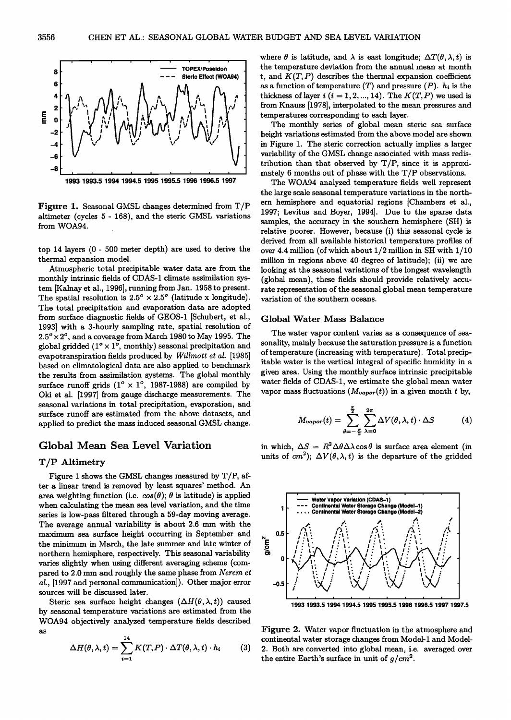

**Figure 1. Seasonal GMSL changes determined from T/P altimeter (cycles 5 - 168), and the steric GMSL variations from WOA94.** 

**top 14 layers (0 - 500 meter depth) are used to derive the thermal expansion model.** 

**Atmospheric total precipitable water data are from the monthly intrinsic fields of CDAS-1 climate assimilation system [Kalnay et al., 1996], running from Jan. 1958 to present.**  The spatial resolution is  $2.5^\circ \times 2.5^\circ$  (latitude x longitude). **The total precipitation and evaporation data are adopted from surface diagnostic fields of GEOS-1 [Schubert, et al., 1993] with a 3-hourly sampling rate, spatial resolution of**   $2.5^\circ \times 2^\circ$ , and a coverage from March 1980 to May 1995. The global gridded  $(1^{\circ} \times 1^{\circ}$ , monthly) seasonal precipitation and **evapotranspiration fields produced by Willmort et al. [1985] based on climatological data are also applied to benchmark the results from assimilation systems. The global monthly**  surface runoff grids  $(1^{\circ} \times 1^{\circ}, 1987$ -1988) are compiled by **Oki et al. [1997] from gauge discharge measurements. The seasonal variations in total precipitation, evaporation, and surface runoff are estimated from the above datasets, and applied to predict the mass induced seasonal GMSL change.** 

#### **Global Mean Sea Level Variation**

#### **T/P Altimetry**

**Figure i shows the GMSL changes measured by T/P, after a linear trend is removed by least squares' method. An**  area weighting function (i.e.  $cos(\theta)$ ;  $\theta$  is latitude) is applied **when calculating the mean sea level variation, and the time series is low-pass filtered through a 59-day moving average. The average annual variability is about 2.6 mm with the maximum sea surface height occurring in September and the minimum in March, the late summer and late winter of northern hemisphere, respectively. This seasonal variability varies slightly when using different averaging scheme (com**pared to 2.0 mm and roughly the same phase from Nerem et **al., [1997 and personal communication]). Other major error sources will be discussed later.** 

Steric sea surface height changes  $(\Delta H(\theta, \lambda, t))$  caused **by seasonal temperature variations are estimated from the WOA94 objectively analyzed temperature fields described as** 

$$
\Delta H(\theta,\lambda,t) = \sum_{i=1}^{14} K(T,P) \cdot \Delta T(\theta,\lambda,t) \cdot h_i \qquad (3)
$$

where  $\theta$  is latitude, and  $\lambda$  is east longitude;  $\Delta T(\theta, \lambda, t)$  is **the temperature deviation from the annual mean at month**   $t$ , and  $K(T, P)$  describes the thermal expansion coefficient as a function of temperature  $(T)$  and pressure  $(P)$ .  $h_i$  is the thickness of layer  $i$  ( $i = 1, 2, ..., 14$ ). The  $K(T, P)$  we used is **from Knauss [1978], interpolated to the mean pressures and temperatures corresponding to each layer.** 

**The monthly series of global mean steric sea surface height variations estimated from the above model are shown in Figure 1. The steric correction actually implies a larger variability of the GMSL change associated with mass redistribution than that observed by T/P, since it is approximately 6 months out of phase with the T/P observations.** 

**The WOA94 analyzed temperature fields well represent the large scale seasonal temperature variations in the northern hemisphere and equatorial regions [Chambers et al., 1997; Levitus and Boyer, 1994]. Due to the sparse data samples, the accuracy in the southern hemisphere (SH) is relative poorer. However, because (i) this seasonal cycle is derived from all available historical temperature profiles of over 4.4 million (of which about 1/2 million in SH with 1/10 million in regions above 40 degree of latitude); (ii) we are looking at the seasonal variations of the longest wavelength (global mean), these fields should provide relatively accurate representation of the seasonal global mean temperature variation of the southern oceans.** 

#### **Global Water Mass Balance**

**The water vapor content varies as a consequence of seasonality, mainly because the saturation pressure is a function of temperature (increasing with temperature). Total precipitable water is the vertical integral of specific humidity in a given area. Using the monthly surface intrinsic precipitable water fields of CDAS-1, we estimate the global mean water**  vapor mass fluctuations  $(M_{vapor}(t))$  in a given month t by,

$$
M_{vapor}(t) = \sum_{\theta=-\frac{\pi}{2}}^{\frac{\pi}{2}} \sum_{\lambda=0}^{2\pi} \Delta V(\theta, \lambda, t) \cdot \Delta S \qquad (4)
$$

in which,  $\Delta S = R^2 \Delta \theta \Delta \lambda \cos \theta$  is surface area element (in units of  $cm^2$ ;  $\Delta V(\theta, \lambda, t)$  is the departure of the gridded



**Figure 2. Water vapor fluctuation in the atmosphere and continental water storage changes from Model-1 and Model-2. Both are converted into global mean, i.e. averaged over**  the entire Earth's surface in unit of  $q/cm^2$ .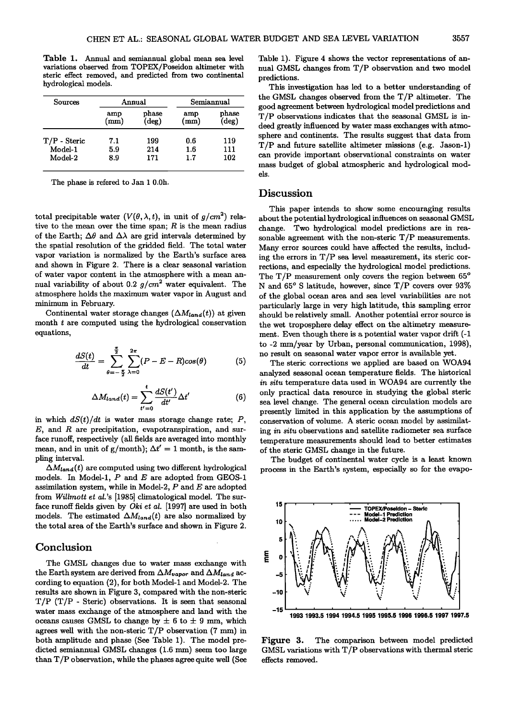**Table 1. Annual and semiannual global mean sea level variations observed from TOPEX/Poseidon altimeter with steric effect removed, and predicted from two continental hydrological models.** 

| <b>Sources</b> | Annual               |                            | Semiannual  |                |
|----------------|----------------------|----------------------------|-------------|----------------|
|                | amp<br>$\text{(mm)}$ | $_{\rm phase}$<br>$(\deg)$ | amp<br>(mm) | phase<br>(deg) |
| $T/P$ - Steric | 7.1                  | 199                        | 0.6         | 119            |
| Model-1        | 5.9                  | 214                        | 1.6         | 111            |
| Model-2        | 8.9                  | 171                        | 1.7         | 102            |

**The phase is refered to Jan 1 0.0h.** 

total precipitable water  $(V(\theta, \lambda, t))$ , in unit of  $g/cm^2$  rela**tive to the mean over the time span; R is the mean radius**  of the Earth:  $\Delta\theta$  and  $\Delta\lambda$  are grid intervals determined by the spatial resolution of the gridded field. The total water **vapor variation is normalized by the Earth's surface area and shown in Figure 2. There is a clear seasonal variation of water vapor content in the atmosphere with a mean an**nual variability of about 0.2  $g/cm^2$  water equivalent. The **atmosphere holds the maximum water vapor in August and minimum in February.** 

Continental water storage changes  $(\Delta M_{land}(t))$  at given **month t are computed using the hydrological conservation equations,** 

$$
\frac{dS(t)}{dt} = \sum_{\theta=-\frac{\pi}{2}}^{\frac{\pi}{2}} \sum_{\lambda=0}^{2\pi} (P - E - R) \cos(\theta) \tag{5}
$$

$$
\Delta M_{land}(t) = \sum_{t'=0}^{t} \frac{dS(t')}{dt'} \Delta t'
$$
 (6)

in which  $dS(t)/dt$  is water mass storage change rate; P, E, and R are precipitation, evapotranspiration, and sur**face runoff, respectively (all fields are averaged into monthly**  mean, and in unit of g/month);  $\Delta t' = 1$  month, is the sam**pling interval.** 

 $\Delta M_{land}(t)$  are computed using two different hydrological **models• In Model-l, P and E are adopted from GEOS-1 assimilation system, while • Model-2, P and E are adopted**  from Willmott et al.'s [1985] climatological model. The sur**face runoff fields given by Oki et al. [1997] are used in both**  models. The estimated  $\Delta M_{land}(t)$  are also normalized by **the total area of the Earth's surface and shown in Figure 2.** 

#### **Conclusion**

**The GMSL changes due to water mass exchange with**  the Earth system are derived from  $\Delta M_{vapor}$  and  $\Delta M_{land}$  ac**cording to equation (2), for both Model-1 and Model-2. The results are shown in Figure 3, compared with the non-steric T/P (T/P - Steric) observations. It is seen that seasonal water mass exchange of the atmosphere and land with the**  oceans causes GMSL to change by  $\pm$  6 to  $\pm$  9 mm, which **agrees well with the non-steric T/P observation (7 ram) in both amplitude and phase (See Table 1). The model predicted semiannual GMSL changes (1.6 mm) seem too large than T/P observation, while the phases agree quite well (See**  **Table 1). Figure 4 shows the vector representations of annual GMSL changes from T/P observation and two model predictions.** 

**This investigation has led to a better understanding of the GMSL changes observed from the T/P altimeter. The good agreement between hydrological model predictions and T/P observations indicates that the seasonal GMSL is indeed greatly influenced by water mass exchanges with atmosphere and continents. The results suggest that data from T/P and future satellite altimeter missions (e.g. Jason-l) can provide important observational constraints on water mass budget of global atmospheric and hydrological models.** 

#### **Discussion**

**This paper intends to show some encouraging results about the potential hydrological influences on seasonal GMSL change. Two hydrological model predictions are in reasonable agreement with the non-steric T/P measurements. Many error sources could have affected the results, including the errors in T/P sea level measurement, its steric corrections, and especially the hydrological model predictions.**  The T/P measurement only covers the region between  $65^\circ$ **N and 65 ø S latitude, however, since T/P covers over 93% of the global ocean area and sea level variabilities are not particularly large in very high latitude, this sampling error should be relatively small. Another potential error source is the wet troposphere delay effect on the altimetry measurement. Even though there is a potential water vapor drift (-1 to -2 ram/year by Urban, personal communication, 1998), no result on seasonal water vapor error is available yet.** 

**The steric corrections we applied are based on WOA94 analyzed seasonal ocean temperature fields. The historical in situ temperature data used in WOA94 are currently the only practical data resource in studying the global steric sea level change. The general ocean circulation models are presently limited in this application by the assumptions of conservation of volume. A steric ocean model by assimilating in situ observations and satellite radiometer sea surface temperature measurements should lead to better estimates of the steric GMSL change in the future.** 

**The budget of continental water cycle is a least known process in the Earth's system, especially so for the evapo-**



**Figure 3. The comparison between model predicted GMSL variations with T/P observations with thermal steric effects removed.**